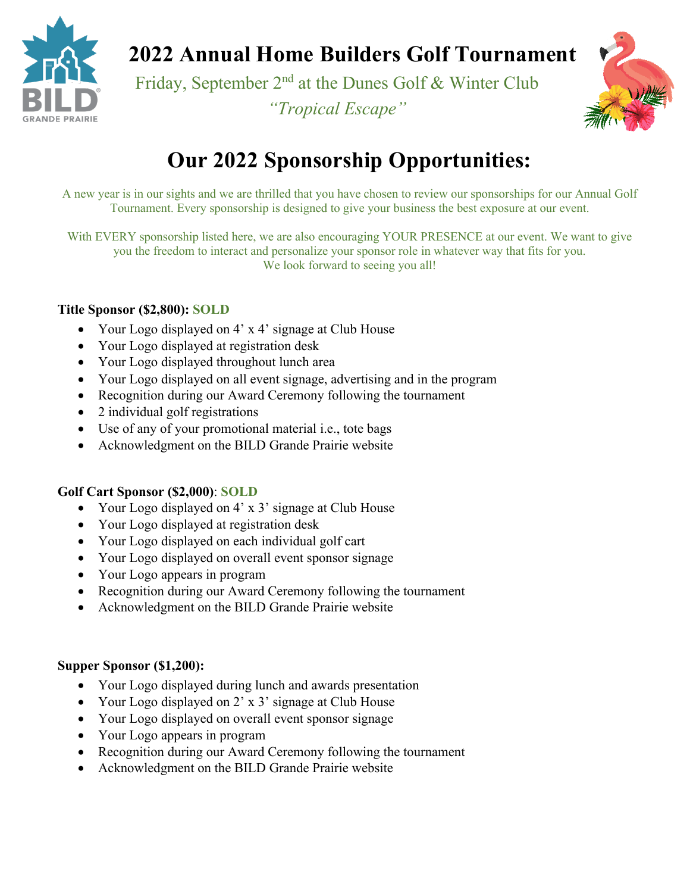

# **2022 Annual Home Builders Golf Tournament**

Friday, September 2<sup>nd</sup> at the Dunes Golf & Winter Club *"Tropical Escape"*



## **Our 2022 Sponsorship Opportunities:**

A new year is in our sights and we are thrilled that you have chosen to review our sponsorships for our Annual Golf Tournament. Every sponsorship is designed to give your business the best exposure at our event.

With EVERY sponsorship listed here, we are also encouraging YOUR PRESENCE at our event. We want to give you the freedom to interact and personalize your sponsor role in whatever way that fits for you. We look forward to seeing you all!

## **Title Sponsor (\$2,800): SOLD**

- Your Logo displayed on 4' x 4' signage at Club House
- Your Logo displayed at registration desk
- Your Logo displayed throughout lunch area
- Your Logo displayed on all event signage, advertising and in the program
- Recognition during our Award Ceremony following the tournament
- 2 individual golf registrations
- Use of any of your promotional material i.e., tote bags
- Acknowledgment on the BILD Grande Prairie website

## **Golf Cart Sponsor (\$2,000)**: **SOLD**

- Your Logo displayed on 4' x 3' signage at Club House
- Your Logo displayed at registration desk
- Your Logo displayed on each individual golf cart
- Your Logo displayed on overall event sponsor signage
- Your Logo appears in program
- Recognition during our Award Ceremony following the tournament
- Acknowledgment on the BILD Grande Prairie website

### **Supper Sponsor (\$1,200):**

- Your Logo displayed during lunch and awards presentation
- Your Logo displayed on 2' x 3' signage at Club House
- Your Logo displayed on overall event sponsor signage
- Your Logo appears in program
- Recognition during our Award Ceremony following the tournament
- Acknowledgment on the BILD Grande Prairie website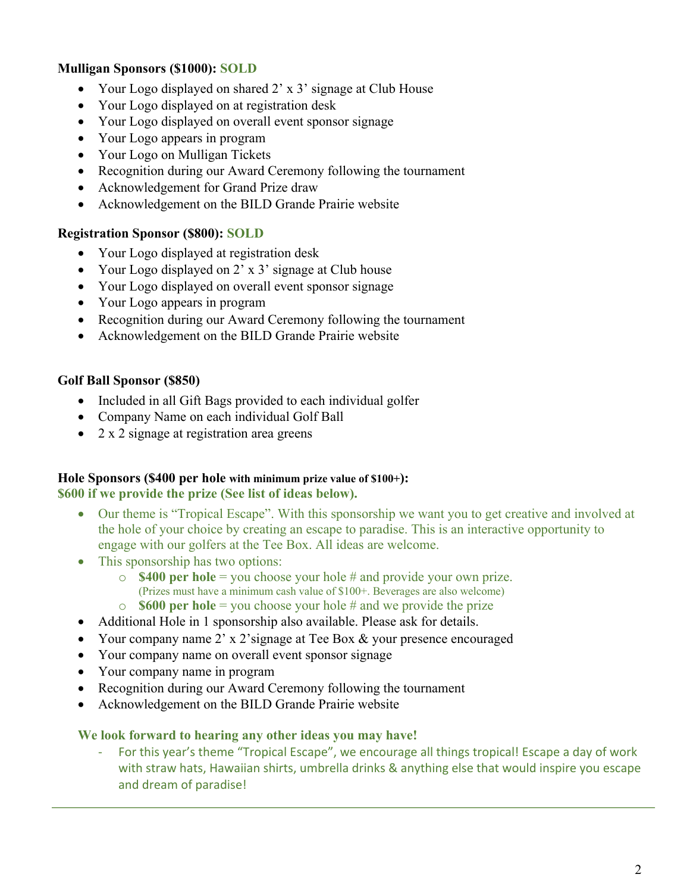### **Mulligan Sponsors (\$1000): SOLD**

- Your Logo displayed on shared 2' x 3' signage at Club House
- Your Logo displayed on at registration desk
- Your Logo displayed on overall event sponsor signage
- Your Logo appears in program
- Your Logo on Mulligan Tickets
- Recognition during our Award Ceremony following the tournament
- Acknowledgement for Grand Prize draw
- Acknowledgement on the BILD Grande Prairie website

#### **Registration Sponsor (\$800): SOLD**

- Your Logo displayed at registration desk
- Your Logo displayed on 2' x 3' signage at Club house
- Your Logo displayed on overall event sponsor signage
- Your Logo appears in program
- Recognition during our Award Ceremony following the tournament
- Acknowledgement on the BILD Grande Prairie website

#### **Golf Ball Sponsor (\$850)**

- Included in all Gift Bags provided to each individual golfer
- Company Name on each individual Golf Ball
- 2 x 2 signage at registration area greens

#### **Hole Sponsors (\$400 per hole with minimum prize value of \$100+): \$600 if we provide the prize (See list of ideas below).**

- Our theme is "Tropical Escape". With this sponsorship we want you to get creative and involved at the hole of your choice by creating an escape to paradise. This is an interactive opportunity to engage with our golfers at the Tee Box. All ideas are welcome.
- This sponsorship has two options:
	- <sup>o</sup> **\$400 per hole** = you choose your hole # and provide your own prize. (Prizes must have a minimum cash value of \$100+. Beverages are also welcome)
	- o **\$600 per hole** = you choose your hole # and we provide the prize
- Additional Hole in 1 sponsorship also available. Please ask for details.
- Your company name 2' x 2'signage at Tee Box & your presence encouraged
- Your company name on overall event sponsor signage
- Your company name in program
- Recognition during our Award Ceremony following the tournament
- Acknowledgement on the BILD Grande Prairie website

#### **We look forward to hearing any other ideas you may have!**

For this year's theme "Tropical Escape", we encourage all things tropical! Escape a day of work with straw hats, Hawaiian shirts, umbrella drinks & anything else that would inspire you escape and dream of paradise!